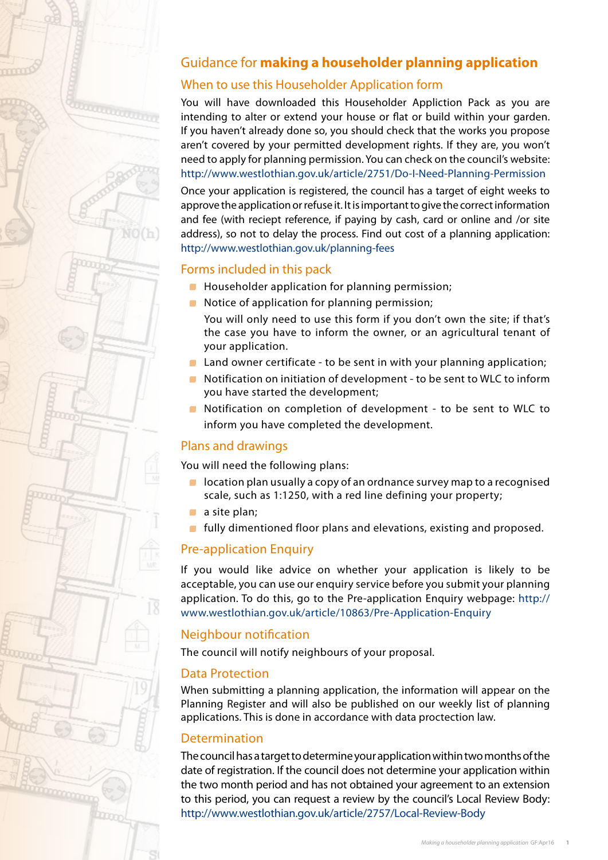### Guidance for **making a householder planning application**

### When to use this Householder Application form

You will have downloaded this Householder Appliction Pack as you are intending to alter or extend your house or flat or build within your garden. If you haven't already done so, you should check that the works you propose aren't covered by your permitted development rights. If they are, you won't need to apply for planning permission. You can check on the council's website: <http://www.westlothian.gov.uk/article/2751/Do-I-Need-Planning-Permission>

Once your application is registered, the council has a target of eight weeks to approve the application or refuse it. It is important to give the correct information and fee (with reciept reference, if paying by cash, card or online and /or site address), so not to delay the process. Find out cost of a planning application: http://www.westlothian.gov.uk/planning-fees

### Forms included in this pack

- **Householder application for planning permission;**
- Notice of application for planning permission;
	- You will only need to use this form if you don't own the site; if that's the case you have to inform the owner, or an agricultural tenant of your application.
- **E** Land owner certificate to be sent in with your planning application;
- Notification on initiation of development to be sent to WLC to inform you have started the development;
- **Notification on completion of development to be sent to WLC to** inform you have completed the development.

### Plans and drawings

You will need the following plans:

- $\blacksquare$  location plan usually a copy of an ordnance survey map to a recognised scale, such as 1:1250, with a red line defining your property;
- $\blacksquare$  a site plan;
- $\blacksquare$ fully dimentioned floor plans and elevations, existing and proposed.

### Pre-application Enquiry

If you would like advice on whether your application is likely to be acceptable, you can use our enquiry service before you submit your planning application. To do this, go to the Pre-application Enquiry webpage: [http://](http://www.westlothian.gov.uk/article/10863/Pre-Application-Enquiry) [www.westlothian.gov.uk/article/10863/Pre-Application-Enquiry](http://www.westlothian.gov.uk/article/10863/Pre-Application-Enquiry)

### Neighbour notification

The council will notify neighbours of your proposal.

### Data Protection

When submitting a planning application, the information will appear on the Planning Register and will also be published on our weekly list of planning applications. This is done in accordance with data proctection law.

### **Determination**

The council has a target to determine your application within two months of the date of registration. If the council does not determine your application within the two month period and has not obtained your agreement to an extension to this period, you can request a review by the council's Local Review Body: <http://www.westlothian.gov.uk/article/2757/Local-Review-Body>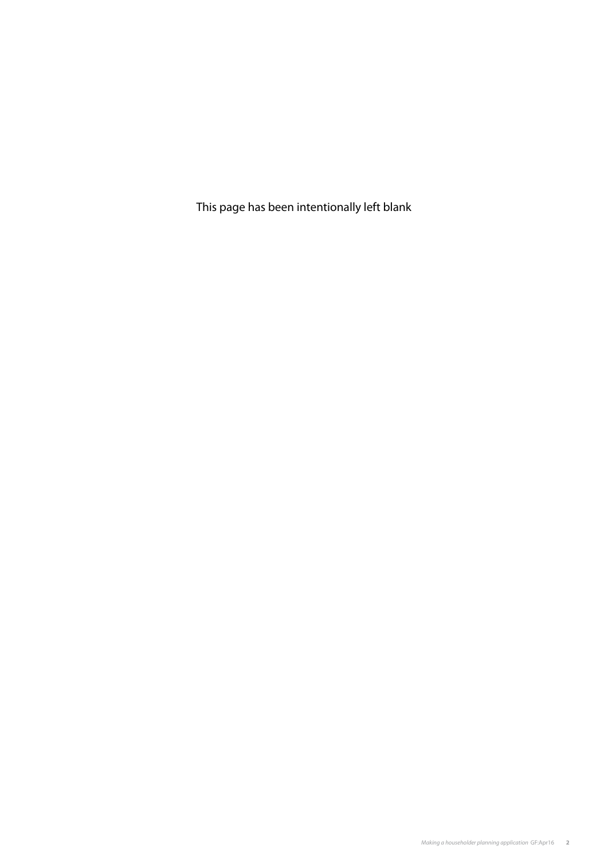This page has been intentionally left blank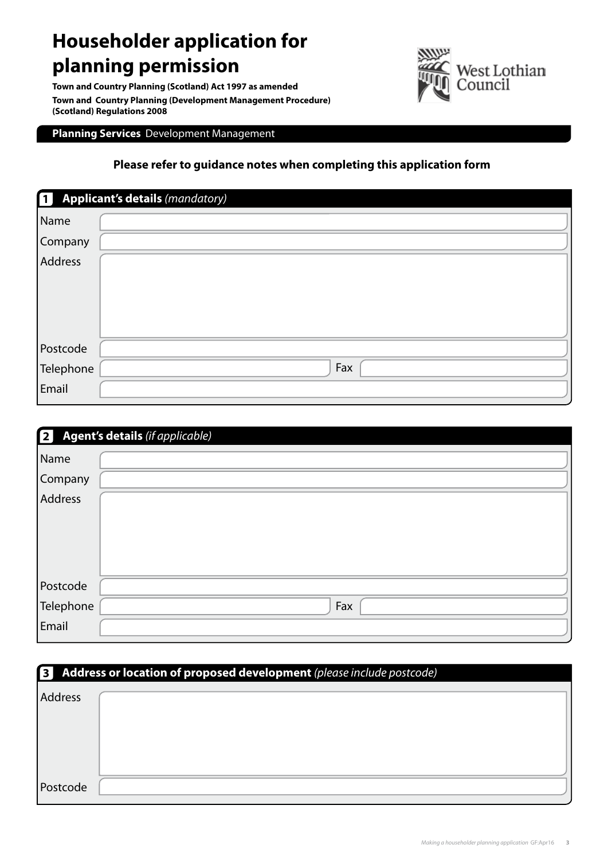# **Householder application for planning permission**

**Town and Country Planning (Scotland) Act 1997 as amended Town and Country Planning (Development Management Procedure) (Scotland) Regulations 2008**



### **Planning Services** Development Management

### **Please refer to guidance notes when completing this application form**

| <b>Applicant's details (mandatory)</b><br>$\lceil 1 \rceil$ |     |  |
|-------------------------------------------------------------|-----|--|
| Name                                                        |     |  |
| Company                                                     |     |  |
| Address                                                     |     |  |
|                                                             |     |  |
|                                                             |     |  |
|                                                             |     |  |
| Postcode                                                    |     |  |
| Telephone                                                   | Fax |  |
| Email                                                       |     |  |

| $\lceil 2 \rceil$ | <b>Agent's details</b> (if applicable) |
|-------------------|----------------------------------------|
| Name              |                                        |
| Company           |                                        |
| Address           |                                        |
|                   |                                        |
|                   |                                        |
|                   |                                        |
| Postcode          |                                        |
| Telephone         | Fax                                    |
| Email             |                                        |

| Address or location of proposed development (please include postcode)<br><b>3</b> |  |  |
|-----------------------------------------------------------------------------------|--|--|
| <b>Address</b>                                                                    |  |  |
|                                                                                   |  |  |
| Postcode                                                                          |  |  |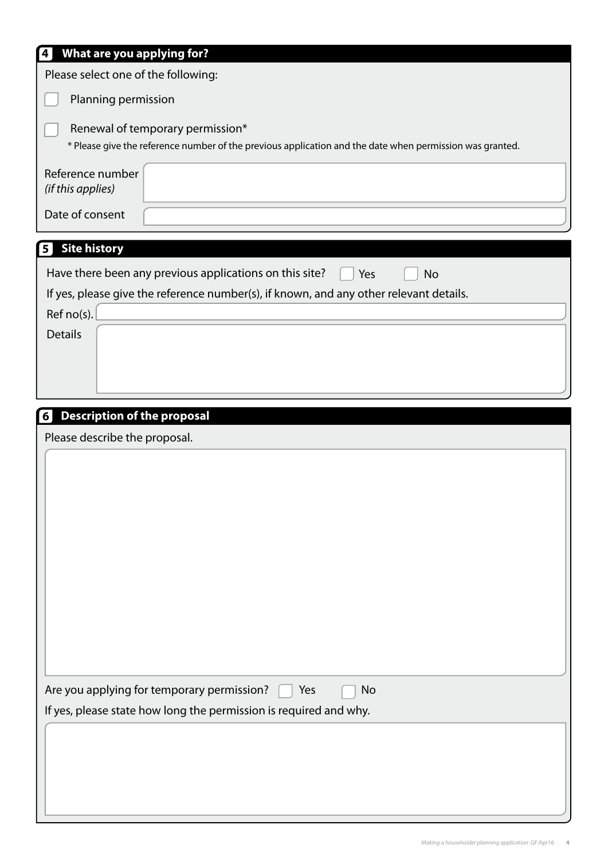| What are you applying for?<br>$\overline{4}$   |                                                                                                          |  |  |
|------------------------------------------------|----------------------------------------------------------------------------------------------------------|--|--|
| Please select one of the following:            |                                                                                                          |  |  |
|                                                | Planning permission                                                                                      |  |  |
| Renewal of temporary permission*               |                                                                                                          |  |  |
|                                                | * Please give the reference number of the previous application and the date when permission was granted. |  |  |
| Reference number                               |                                                                                                          |  |  |
| (if this applies)                              |                                                                                                          |  |  |
| Date of consent                                |                                                                                                          |  |  |
| <b>Site history</b><br>$\vert 5 \vert$         |                                                                                                          |  |  |
|                                                | Have there been any previous applications on this site?<br><b>No</b><br>Yes                              |  |  |
|                                                | If yes, please give the reference number(s), if known, and any other relevant details.                   |  |  |
| Ref no(s).                                     |                                                                                                          |  |  |
| <b>Details</b>                                 |                                                                                                          |  |  |
|                                                |                                                                                                          |  |  |
|                                                |                                                                                                          |  |  |
|                                                |                                                                                                          |  |  |
| <b>Description of the proposal</b><br>$6 \mid$ |                                                                                                          |  |  |
| Please describe the proposal.                  |                                                                                                          |  |  |
|                                                |                                                                                                          |  |  |
|                                                |                                                                                                          |  |  |
|                                                |                                                                                                          |  |  |
|                                                |                                                                                                          |  |  |
|                                                |                                                                                                          |  |  |
|                                                |                                                                                                          |  |  |
|                                                |                                                                                                          |  |  |
|                                                |                                                                                                          |  |  |
|                                                |                                                                                                          |  |  |
|                                                |                                                                                                          |  |  |
|                                                |                                                                                                          |  |  |
| Are you applying for temporary permission?     | Yes<br>No                                                                                                |  |  |
|                                                | If yes, please state how long the permission is required and why.                                        |  |  |
|                                                |                                                                                                          |  |  |
|                                                |                                                                                                          |  |  |
|                                                |                                                                                                          |  |  |
|                                                |                                                                                                          |  |  |
|                                                |                                                                                                          |  |  |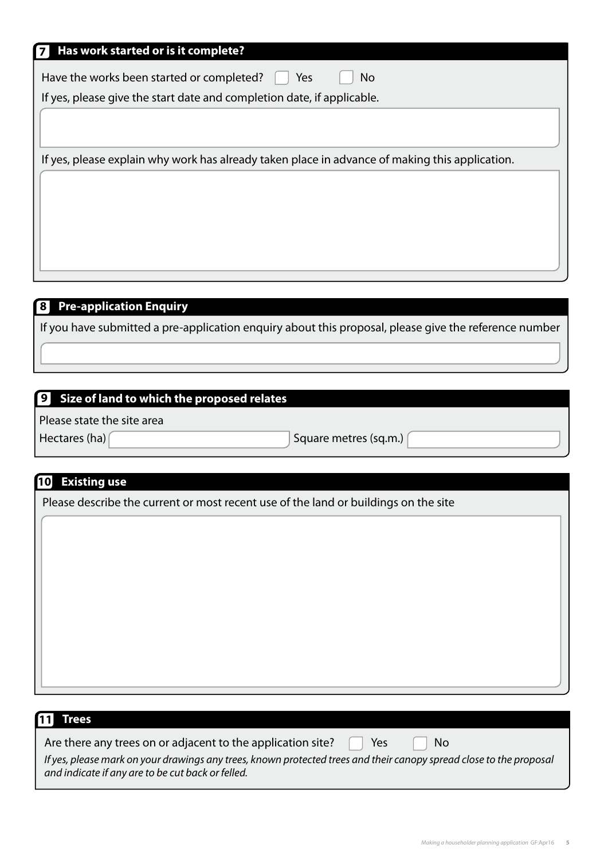| Has work started or is it complete?<br>7 <sup>1</sup>                                          |
|------------------------------------------------------------------------------------------------|
| Have the works been started or completed?<br><b>Yes</b><br>No.                                 |
| If yes, please give the start date and completion date, if applicable.                         |
|                                                                                                |
|                                                                                                |
| If yes, please explain why work has already taken place in advance of making this application. |
|                                                                                                |
|                                                                                                |
|                                                                                                |
|                                                                                                |
|                                                                                                |

### **8 Pre-application Enquiry**

If you have submitted a pre-application enquiry about this proposal, please give the reference number

#### **9 Size of land to which the proposed relates**

### Please state the site area

Hectares (ha) Square metres (sq.m.)

### **10 Existing use**

Please describe the current or most recent use of the land or buildings on the site

### **11 Trees**

Are there any trees on or adjacent to the application site?  $\Box$  Yes  $\Box$  No

| If yes, please mark on your drawings any trees, known protected trees and their canopy spread close to the proposal |
|---------------------------------------------------------------------------------------------------------------------|
| and indicate if any are to be cut back or felled.                                                                   |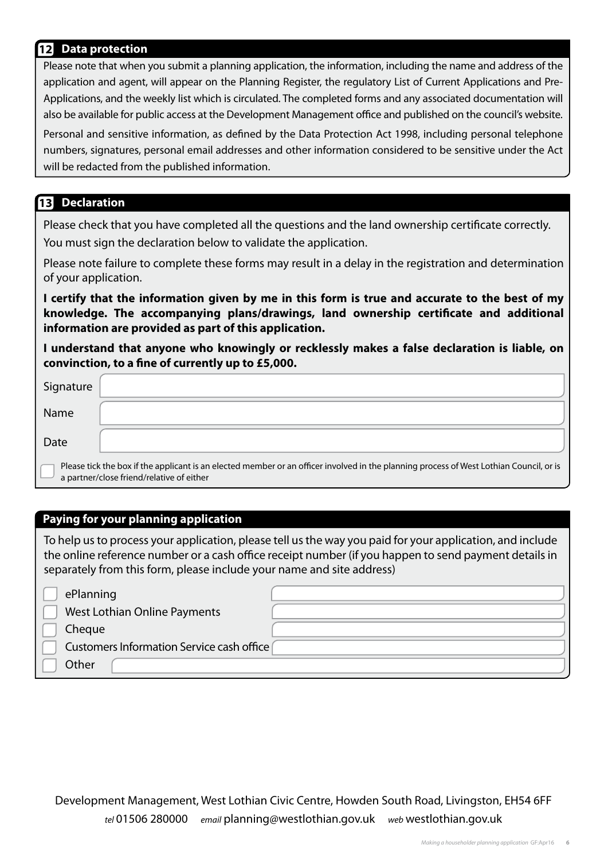### **12 Data protection**

Please note that when you submit a planning application, the information, including the name and address of the application and agent, will appear on the Planning Register, the regulatory List of Current Applications and Pre-Applications, and the weekly list which is circulated. The completed forms and any associated documentation will also be available for public access at the Development Management office and published on the council's website. Personal and sensitive information, as defined by the Data Protection Act 1998, including personal telephone numbers, signatures, personal email addresses and other information considered to be sensitive under the Act will be redacted from the published information.

### **18 13 Declaration**

Please check that you have completed all the questions and the land ownership certificate correctly. You must sign the declaration below to validate the application.

Please note failure to complete these forms may result in a delay in the registration and determination of your application.

**I certify that the information given by me in this form is true and accurate to the best of my knowledge. The accompanying plans/drawings, land ownership certificate and additional information are provided as part of this application.** 

**I understand that anyone who knowingly or recklessly makes a false declaration is liable, on convinction, to a fine of currently up to £5,000.**

| Signature   |                                                                                                                                                                                      |
|-------------|--------------------------------------------------------------------------------------------------------------------------------------------------------------------------------------|
| <b>Name</b> |                                                                                                                                                                                      |
| Date        |                                                                                                                                                                                      |
|             | Please tick the box if the applicant is an elected member or an officer involved in the planning process of West Lothian Council, or is<br>a partner/close friend/relative of either |

### **Paying for your planning application**

To help us to process your application, please tell us the way you paid for your application, and include the online reference number or a cash office receipt number (if you happen to send payment details in separately from this form, please include your name and site address)

|  | ePlanning |  |
|--|-----------|--|
|  |           |  |

| ePlanning                                 |  |  |
|-------------------------------------------|--|--|
| West Lothian Online Payments              |  |  |
| Cheque                                    |  |  |
| Customers Information Service cash office |  |  |
| Other                                     |  |  |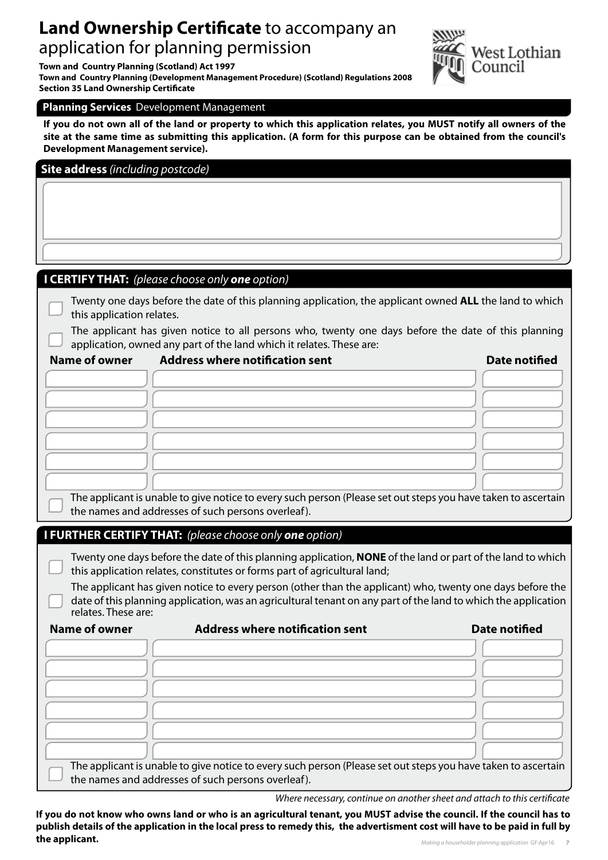## **Land Ownership Certificate** to accompany an application for planning permission

**Town and Country Planning (Scotland) Act 1997**

**Town and Country Planning (Development Management Procedure) (Scotland) Regulations 2008 Section 35 Land Ownership Certificate**



### **Planning Services** Development Management

**If you do not own all of the land or property to which this application relates, you MUST notify all owners of the site at the same time as submitting this application. (A form for this purpose can be obtained from the council's Development Management service).**

| <b>Site address</b> (including postcode)                                                                                                                                                                                                    |                                                                                                                                                                                                                                                                                                                                                                                                                                |                      |
|---------------------------------------------------------------------------------------------------------------------------------------------------------------------------------------------------------------------------------------------|--------------------------------------------------------------------------------------------------------------------------------------------------------------------------------------------------------------------------------------------------------------------------------------------------------------------------------------------------------------------------------------------------------------------------------|----------------------|
|                                                                                                                                                                                                                                             |                                                                                                                                                                                                                                                                                                                                                                                                                                |                      |
|                                                                                                                                                                                                                                             | I CERTIFY THAT: (please choose only one option)                                                                                                                                                                                                                                                                                                                                                                                |                      |
| Twenty one days before the date of this planning application, the applicant owned ALL the land to which<br>this application relates.<br>The applicant has given notice to all persons who, twenty one days before the date of this planning |                                                                                                                                                                                                                                                                                                                                                                                                                                |                      |
| <b>Name of owner</b>                                                                                                                                                                                                                        | application, owned any part of the land which it relates. These are:<br><b>Address where notification sent</b>                                                                                                                                                                                                                                                                                                                 | <b>Date notified</b> |
|                                                                                                                                                                                                                                             |                                                                                                                                                                                                                                                                                                                                                                                                                                |                      |
|                                                                                                                                                                                                                                             |                                                                                                                                                                                                                                                                                                                                                                                                                                |                      |
|                                                                                                                                                                                                                                             |                                                                                                                                                                                                                                                                                                                                                                                                                                |                      |
|                                                                                                                                                                                                                                             |                                                                                                                                                                                                                                                                                                                                                                                                                                |                      |
|                                                                                                                                                                                                                                             |                                                                                                                                                                                                                                                                                                                                                                                                                                |                      |
|                                                                                                                                                                                                                                             |                                                                                                                                                                                                                                                                                                                                                                                                                                |                      |
|                                                                                                                                                                                                                                             |                                                                                                                                                                                                                                                                                                                                                                                                                                |                      |
|                                                                                                                                                                                                                                             | The applicant is unable to give notice to every such person (Please set out steps you have taken to ascertain<br>the names and addresses of such persons overleaf).                                                                                                                                                                                                                                                            |                      |
|                                                                                                                                                                                                                                             | <b>I FURTHER CERTIFY THAT:</b> (please choose only <b>one</b> option)                                                                                                                                                                                                                                                                                                                                                          |                      |
| relates. These are:                                                                                                                                                                                                                         | Twenty one days before the date of this planning application, <b>NONE</b> of the land or part of the land to which<br>this application relates, constitutes or forms part of agricultural land;<br>The applicant has given notice to every person (other than the applicant) who, twenty one days before the<br>date of this planning application, was an agricultural tenant on any part of the land to which the application |                      |
| <b>Name of owner</b>                                                                                                                                                                                                                        | <b>Address where notification sent</b>                                                                                                                                                                                                                                                                                                                                                                                         | <b>Date notified</b> |
|                                                                                                                                                                                                                                             |                                                                                                                                                                                                                                                                                                                                                                                                                                |                      |
|                                                                                                                                                                                                                                             |                                                                                                                                                                                                                                                                                                                                                                                                                                |                      |
|                                                                                                                                                                                                                                             |                                                                                                                                                                                                                                                                                                                                                                                                                                |                      |
|                                                                                                                                                                                                                                             |                                                                                                                                                                                                                                                                                                                                                                                                                                |                      |
|                                                                                                                                                                                                                                             |                                                                                                                                                                                                                                                                                                                                                                                                                                |                      |
|                                                                                                                                                                                                                                             |                                                                                                                                                                                                                                                                                                                                                                                                                                |                      |
|                                                                                                                                                                                                                                             |                                                                                                                                                                                                                                                                                                                                                                                                                                |                      |
|                                                                                                                                                                                                                                             | The applicant is unable to give notice to every such person (Please set out steps you have taken to ascertain<br>the names and addresses of such persons overleaf).                                                                                                                                                                                                                                                            |                      |

*Where necessary, continue on another sheet and attach to this certificate*

*Making a householder planning application* GF:Apr16 **7 If you do not know who owns land or who is an agricultural tenant, you MUST advise the council. If the council has to publish details of the application in the local press to remedy this, the advertisment cost will have to be paid in full by the applicant.**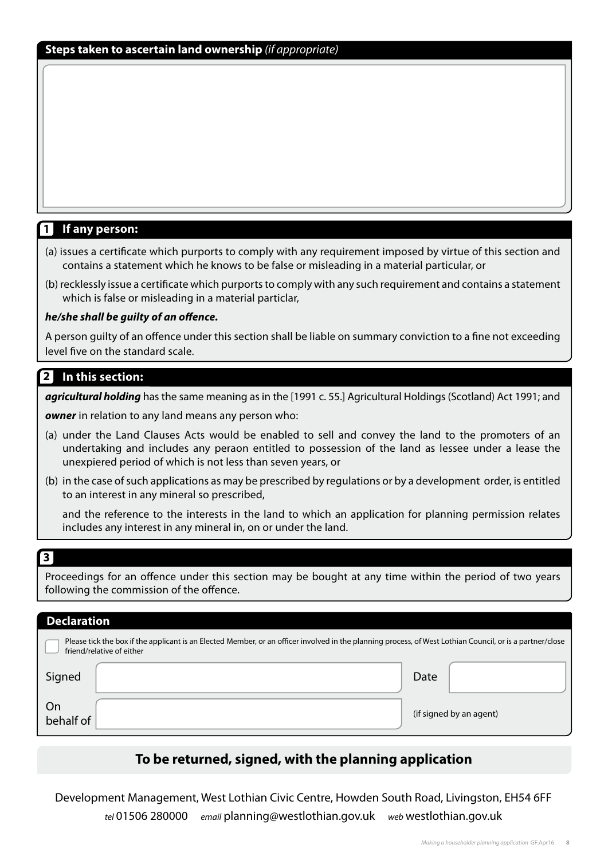#### **If any person: 1**

- (a) issues a certificate which purports to comply with any requirement imposed by virtue of this section and contains a statement which he knows to be false or misleading in a material particular, or
- (b) recklessly issue a certificate which purports to comply with any such requirement and contains a statement which is false or misleading in a material particlar,

### *he/she shall be guilty of an offence.*

A person guilty of an offence under this section shall be liable on summary conviction to a fine not exceeding level five on the standard scale.

### **2 In this section:**

*agricultural holding* has the same meaning as in the [1991 c. 55.] Agricultural Holdings (Scotland) Act 1991; and

*owner* in relation to any land means any person who:

- (a) under the Land Clauses Acts would be enabled to sell and convey the land to the promoters of an undertaking and includes any peraon entitled to possession of the land as lessee under a lease the unexpiered period of which is not less than seven years, or
- (b) in the case of such applications as may be prescribed by regulations or by a development order, is entitled to an interest in any mineral so prescribed,

and the reference to the interests in the land to which an application for planning permission relates includes any interest in any mineral in, on or under the land.

### **3**

Proceedings for an offence under this section may be bought at any time within the period of two years following the commission of the offence.

### **Declaration**

| Please tick the box if the applicant is an Elected Member, or an officer involved in the planning process, of West Lothian Council, or is a partner/close<br>friend/relative of either |  |      |                         |
|----------------------------------------------------------------------------------------------------------------------------------------------------------------------------------------|--|------|-------------------------|
| Signed                                                                                                                                                                                 |  | Date |                         |
| On<br>behalf of                                                                                                                                                                        |  |      | (if signed by an agent) |

### **To be returned, signed, with the planning application**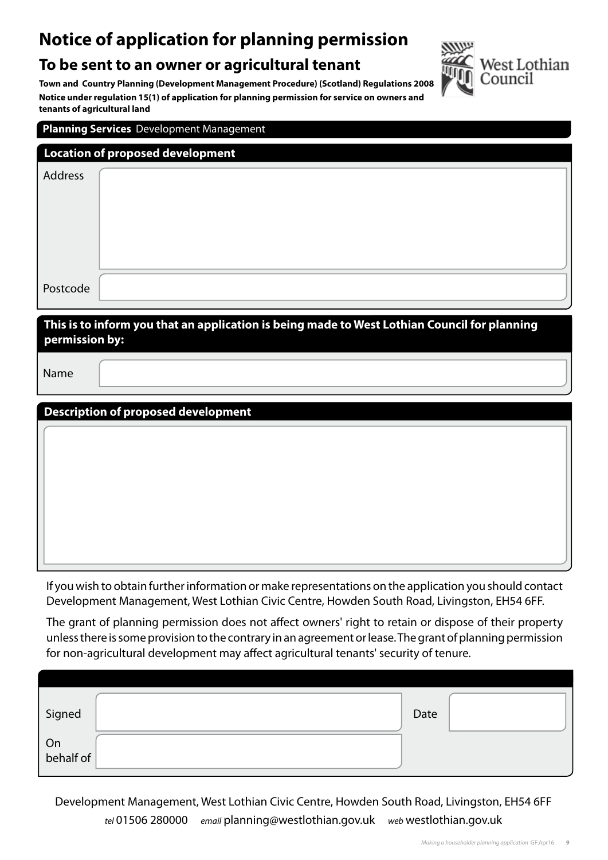## **Notice of application for planning permission**

### **To be sent to an owner or agricultural tenant**

**Town and Country Planning (Development Management Procedure) (Scotland) Regulations 2008 Notice under regulation 15(1) of application for planning permission for service on owners and tenants of agricultural land**



### **Planning Services** Development Management

| Location of proposed development |  |  |
|----------------------------------|--|--|
| Address                          |  |  |
|                                  |  |  |
| Postcode                         |  |  |

### **This is to inform you that an application is being made to West Lothian Council for planning permission by:**

Name

### **Description of proposed development**

If you wish to obtain further information or make representations on the application you should contact Development Management, West Lothian Civic Centre, Howden South Road, Livingston, EH54 6FF.

The grant of planning permission does not affect owners' right to retain or dispose of their property unless there is some provision to the contrary in an agreement or lease. The grant of planning permission for non-agricultural development may affect agricultural tenants' security of tenure.

| Signed       | Date |  |
|--------------|------|--|
| On behalf of |      |  |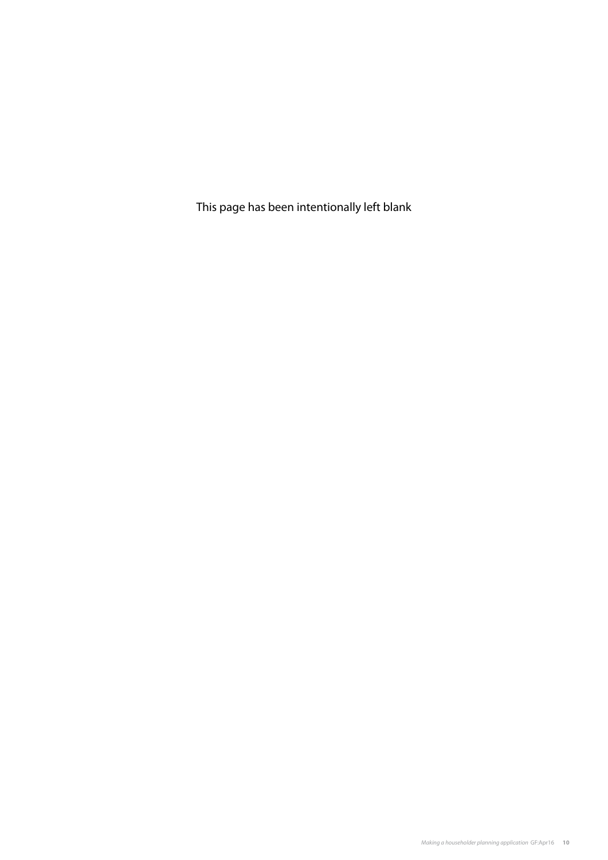This page has been intentionally left blank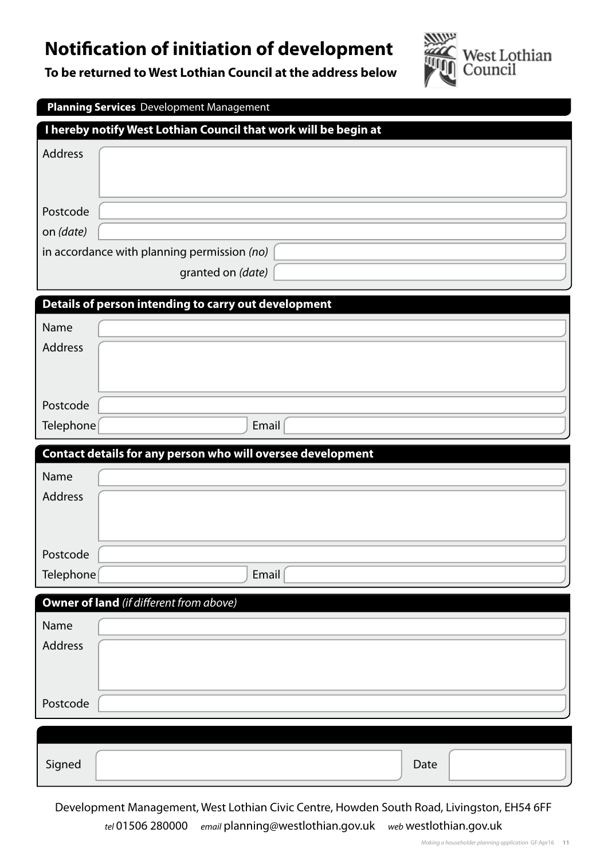# **Notification of initiation of development**



**To be returned to West Lothian Council at the address below**

|           | Planning Services Development Management                        |  |  |  |
|-----------|-----------------------------------------------------------------|--|--|--|
|           | I hereby notify West Lothian Council that work will be begin at |  |  |  |
| Address   |                                                                 |  |  |  |
|           |                                                                 |  |  |  |
| Postcode  |                                                                 |  |  |  |
| on (date) |                                                                 |  |  |  |
|           | in accordance with planning permission (no)                     |  |  |  |
|           | granted on (date)                                               |  |  |  |
|           | Details of person intending to carry out development            |  |  |  |
| Name      |                                                                 |  |  |  |
| Address   |                                                                 |  |  |  |
|           |                                                                 |  |  |  |
| Postcode  |                                                                 |  |  |  |
| Telephone | Email                                                           |  |  |  |
|           |                                                                 |  |  |  |
|           | Contact details for any person who will oversee development     |  |  |  |
| Name      |                                                                 |  |  |  |
| Address   |                                                                 |  |  |  |
|           |                                                                 |  |  |  |
|           |                                                                 |  |  |  |
| Postcode  |                                                                 |  |  |  |
| Telephone | Email                                                           |  |  |  |
|           | Owner of land (if different from above)                         |  |  |  |
| Name      |                                                                 |  |  |  |
| Address   |                                                                 |  |  |  |
|           |                                                                 |  |  |  |
| Postcode  |                                                                 |  |  |  |
|           |                                                                 |  |  |  |
|           |                                                                 |  |  |  |
| Signed    | Date                                                            |  |  |  |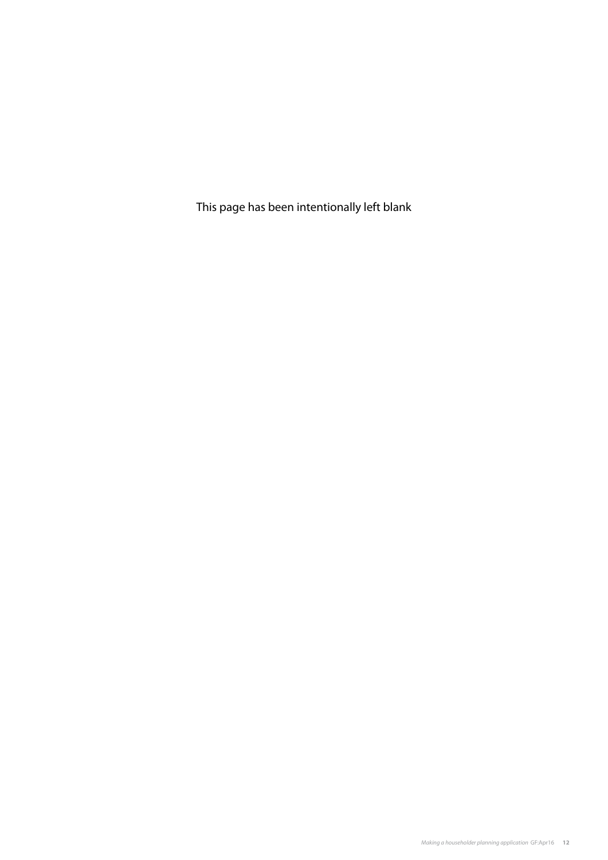This page has been intentionally left blank